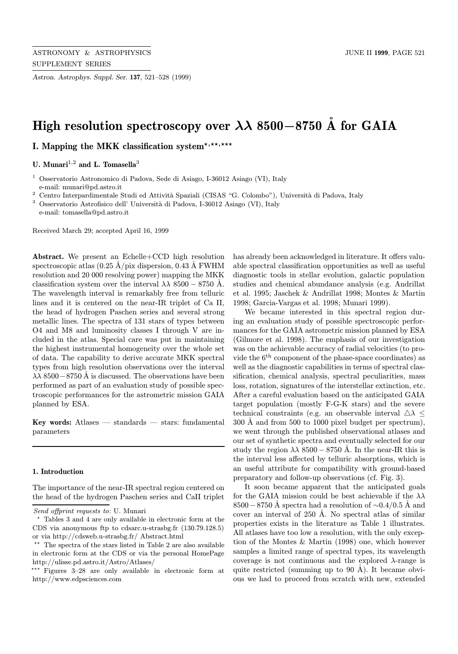Astron. Astrophys. Suppl. Ser. 137, 521–528 (1999)

# High resolution spectroscopy over  $\lambda\lambda$  8500−8750 Å for GAIA

I. Mapping the MKK classification system\*,\*\*,\*\*\*

U. Munari<sup>1,2</sup> and L. Tomasella<sup>3</sup>

<sup>1</sup> Osservatorio Astronomico di Padova, Sede di Asiago, I-36012 Asiago (VI), Italy e-mail: munari@pd.astro.it

 $^2$  Centro Interpardimentale Studi ed Attività Spaziali (CISAS "G. Colombo"), Università di Padova, Italy

 $^3\,$  Osservatorio Astrofisico dell' Università di Padova, I-36012 Asiago (VI), Italy e-mail: tomasella@pd.astro.it

Received March 29; accepted April 16, 1999

Abstract. We present an Echelle+CCD high resolution spectroscopic atlas  $(0.25 \text{ Å} / \text{pix}$  dispersion, 0.43 Å FWHM resolution and 20 000 resolving power) mapping the MKK classification system over the interval  $\lambda \lambda$  8500 – 8750 Å. The wavelength interval is remarkably free from telluric lines and it is centered on the near-IR triplet of Ca II, the head of hydrogen Paschen series and several strong metallic lines. The spectra of 131 stars of types between O4 and M8 and luminosity classes I through V are included in the atlas. Special care was put in maintaining the highest instrumental homogeneity over the whole set of data. The capability to derive accurate MKK spectral types from high resolution observations over the interval  $\lambda \lambda$  8500−8750 Å is discussed. The observations have been performed as part of an evaluation study of possible spectroscopic performances for the astrometric mission GAIA planned by ESA.

Key words: Atlases  $-$  standards  $-$  stars: fundamental parameters

## 1. Introduction

The importance of the near-IR spectral region centered on the head of the hydrogen Paschen series and CaII triplet has already been acknowledged in literature. It offers valuable spectral classification opportunities as well as useful diagnostic tools in stellar evolution, galactic population studies and chemical abundance analysis (e.g. Andrillat et al. 1995; Jaschek & Andrillat 1998; Montes & Martin 1998; Garcia-Vargas et al. 1998; Munari 1999).

We became interested in this spectral region during an evaluation study of possible spectroscopic performances for the GAIA astrometric mission planned by ESA (Gilmore et al. 1998). The emphasis of our investigation was on the achievable accuracy of radial velocities (to provide the  $6<sup>th</sup>$  component of the phase-space coordinates) as well as the diagnostic capabilities in terms of spectral classification, chemical analysis, spectral peculiarities, mass loss, rotation, signatures of the interstellar extinction, etc. After a careful evaluation based on the anticipated GAIA target population (mostly F-G-K stars) and the severe technical constraints (e.g. an observable interval  $\triangle \lambda$  <  $300 \text{ Å}$  and from  $500$  to  $1000$  pixel budget per spectrum), we went through the published observational atlases and our set of synthetic spectra and eventually selected for our study the region  $\lambda \lambda$  8500 – 8750 Å. In the near-IR this is the interval less affected by telluric absorptions, which is an useful attribute for compatibility with ground-based preparatory and follow-up observations (cf. Fig. 3).

It soon became apparent that the anticipated goals for the GAIA mission could be best achievable if the  $\lambda\lambda$  $8500 - 8750$  Å spectra had a resolution of ~0.4/0.5 Å and cover an interval of  $250$  Å. No spectral atlas of similar properties exists in the literature as Table 1 illustrates. All atlases have too low a resolution, with the only exception of the Montes & Martin (1998) one, which however samples a limited range of spectral types, its wavelength coverage is not continuous and the explored  $\lambda$ -range is quite restricted (summing up to  $90 \text{ Å}$ ). It became obvious we had to proceed from scratch with new, extended

Send offprint requests to: U. Munari

<sup>?</sup> Tables 3 and 4 are only available in electronic form at the CDS via anonymous ftp to cdsarc.u-strasbg.fr (130.79.128.5) or via http://cdsweb.u-strasbg.fr/ Abstract.html

 $**$  The spectra of the stars listed in Table 2 are also available in electronic form at the CDS or via the personal HomePage http://ulisse.pd.astro.it/Astro/Atlases/

<sup>\*\*\*</sup> Figures 3-28 are only available in electronic form at http://www.edpsciences.com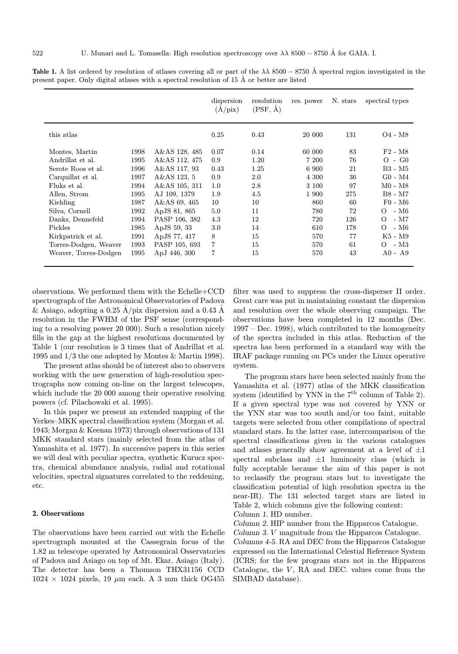|                       |      |               | dispersion<br>$(\dot{A}/\text{pix})$ | resolution<br>$(PSF, \AA)$ | res. power | N. stars | spectral types                  |
|-----------------------|------|---------------|--------------------------------------|----------------------------|------------|----------|---------------------------------|
| this atlas            |      |               | 0.25                                 | 0.43                       | 20 000     | 131      | O <sub>4</sub> - M <sub>8</sub> |
| Montes, Martin        | 1998 | A&AS 128, 485 | 0.07                                 | 0.14                       | 60 000     | 83       | $F2 - M8$                       |
| Andrillat et al.      | 1995 | A&AS 112, 475 | 0.9                                  | 1.20                       | 7 200      | 76       | $O$ - $G0$                      |
| Serote Roos et al.    | 1996 | A&AS 117, 93  | 0.43                                 | 1.25                       | 6 900      | 21       | B3 - M5                         |
| Carquillat et al.     | 1997 | A&AS 123, 5   | 0.9                                  | 2.0                        | 4 300      | 36       | $G0 - M4$                       |
| Fluks et al.          | 1994 | A&AS 105, 311 | 1.0                                  | 2.8                        | 3 100      | 97       | $M0 - M8$                       |
| Allen, Strom          | 1995 | AJ 109, 1379  | 1.9                                  | 4.5                        | 1 900      | 275      | B8 - M7                         |
| Kiehling              | 1987 | A&AS 69, 465  | 10                                   | 10                         | 860        | 60       | $F0 - M6$                       |
| Silva, Cornell        | 1992 | ApJS 81, 865  | 5.0                                  | 11                         | 780        | 72       | $-M6$<br>$\Omega$               |
| Danks, Dennefeld      | 1994 | PASP 106, 382 | 4.3                                  | 12                         | 720        | 126      | $- M7$<br>$\Omega$              |
| Pickles               | 1985 | ApJS 59, 33   | 3.0                                  | 14                         | 610        | 178      | $-M6$<br>$\Omega$               |
| Kirkpatrick et al.    | 1991 | ApJS 77, 417  | 8                                    | 15                         | 570        | 77       | K5 - M9                         |
| Torres-Dodgen, Weaver | 1993 | PASP 105, 693 | $\overline{7}$                       | 15                         | 570        | 61       | - M3<br>$\Omega$                |
| Weaver, Torres-Dodgen | 1995 | ApJ 446, 300  | $\overline{7}$                       | 15                         | 570        | 43       | $A0 - A9$                       |

**Table 1.** A list ordered by resolution of atlases covering all or part of the  $\lambda\lambda$  8500 – 8750 Å spectral region investigated in the present paper. Only digital atlases with a spectral resolution of  $15 \text{ Å}$  or better are listed

observations. We performed them with the Echelle+CCD spectrograph of the Astronomical Observatories of Padova & Asiago, adopting a 0.25 Å/pix dispersion and a 0.43 Å resolution in the FWHM of the PSF sense (corresponding to a resolving power 20 000). Such a resolution nicely fills in the gap at the highest resolutions documented by Table 1 (our resolution is 3 times that of Andrillat et al. 1995 and 1/3 the one adopted by Montes & Martin 1998).

The present atlas should be of interest also to observers working with the new generation of high-resolution spectrographs now coming on-line on the largest telescopes, which include the 20 000 among their operative resolving powers (cf. Pilachowski et al. 1995).

In this paper we present an extended mapping of the Yerkes–MKK spectral classification system (Morgan et al. 1943; Morgan & Keenan 1973) through observations of 131 MKK standard stars (mainly selected from the atlas of Yamashita et al. 1977). In successive papers in this series we will deal with peculiar spectra, synthetic Kurucz spectra, chemical abundance analysis, radial and rotational velocities, spectral signatures correlated to the reddening, etc.

## 2. Observations

The observations have been carried out with the Echelle spectrograph mounted at the Cassegrain focus of the 1.82 m telescope operated by Astronomical Osservatories of Padova and Asiago on top of Mt. Ekar, Asiago (Italy). The detector has been a Thomson THX31156 CCD  $1024 \times 1024$  pixels, 19  $\mu$ m each. A 3 mm thick OG455

filter was used to suppress the cross-disperser II order. Great care was put in maintaining constant the dispersion and resolution over the whole observing campaign. The observations have been completed in 12 months (Dec. 1997 – Dec. 1998), which contributed to the homogeneity of the spectra included in this atlas. Reduction of the spectra has been performed in a standard way with the IRAF package running on PCs under the Linux operative system.

The program stars have been selected mainly from the Yamashita et al. (1977) atlas of the MKK classification system (identified by YNN in the  $7<sup>th</sup>$  column of Table 2). If a given spectral type was not covered by YNN or the YNN star was too south and/or too faint, suitable targets were selected from other compilations of spectral standard stars. In the latter case, intercomparison of the spectral classifications given in the various catalogues and atlases generally show agreement at a level of  $\pm 1$ spectral subclass and  $\pm 1$  luminosity class (which is fully acceptable because the aim of this paper is not to reclassify the program stars but to investigate the classification potential of high resolution spectra in the near-IR). The 131 selected target stars are listed in Table 2, which columns give the following content: Column 1. HD number.

Column 2. HIP number from the Hipparcos Catalogue.

Column 3. V magnitude from the Hipparcos Catalogue.

Columns 4-5. RA and DEC from the Hipparcos Catalogue expressed on the International Celestial Reference System (ICRS; for the few program stars not in the Hipparcos Catalogue, the  $V$ , RA and DEC. values come from the SIMBAD database).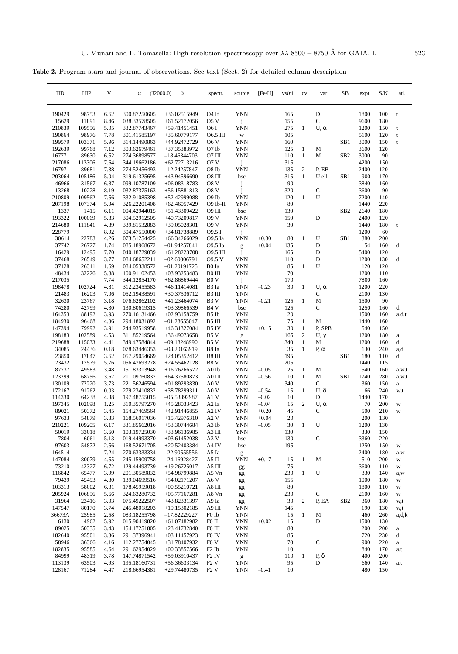Table 2. Program stars and journal of observations. See text (Sect. 2) for detailed column description

| HD               | HIP             | V            | α                            | δ<br>(J2000.0)                   | spectr.                                | source                   | [Fe/H]             | <i>vsini</i> | cv               | var          | SB              | expt         | S/N        | atl.        |
|------------------|-----------------|--------------|------------------------------|----------------------------------|----------------------------------------|--------------------------|--------------------|--------------|------------------|--------------|-----------------|--------------|------------|-------------|
| 190429           | 98753           | 6.62         | 300.87250605                 | $+36.02515949$                   | O <sub>4</sub> If                      | <b>YNN</b>               |                    | 165          |                  | $\mathbf D$  |                 | 1800         | 100        | t           |
| 15629            | 11891           | 8.46         | 038.33578505                 | $+61.52172056$                   | 05V                                    | j                        |                    | 155          |                  | $\mathsf{C}$ |                 | 9600         | 180        |             |
| 210839           | 109556          | 5.05         | 332.87743467                 | $+59.41451451$                   | O6 I                                   | <b>YNN</b>               |                    | 275          | $\mathbf{1}$     | $U, \alpha$  |                 | 1200         | 150        | t           |
| 190864           | 98976           | 7.78         | 301.41585197                 | $+35.60779177$                   | O6.5 III                               | W                        |                    | 105          |                  |              |                 | 5100         | 120        | $\mathbf t$ |
| 199579<br>192639 | 103371<br>99768 | 5.96<br>7.12 | 314.14490863<br>303.62679461 | +44.92472729<br>+37.35383972     | O6 V<br>O7 Ib                          | <b>YNN</b><br><b>YNN</b> |                    | 160<br>125   | $\mathbf{1}$     | M            | SB <sub>1</sub> | 3000<br>3600 | 150<br>120 | $\mathbf t$ |
| 167771           | 89630           | 6.52         | 274.36898577                 | $-18.46344703$                   | O7 III                                 | <b>YNN</b>               |                    | 110          | $\mathbf{1}$     | M            | SB <sub>2</sub> | 3000         | 90         |             |
| 217086           | 113306          | 7.64         | 344.19662186                 | $+62.72713216$                   | 07 V                                   | j                        |                    | 315          |                  |              |                 | 4200         | 150        |             |
| 167971           | 89681           | 7.38         | 274.52456493                 | $-12.24257847$                   | O8 <sub>Ib</sub>                       | <b>YNN</b>               |                    | 135          | $\overline{c}$   | P, EB        |                 | 2400         | 120        |             |
| 203064           | 105186          | 5.04         | 319.61325695                 | +43.94596690                     | O8 III                                 | bsc                      |                    | 315          | $\mathbf{1}$     | U ell        | SB1             | 900          | 170        |             |
| 46966            | 31567           | 6.87         | 099.10787109                 | $+06.08318783$                   | O8 V                                   | j                        |                    | 90           |                  |              |                 | 3840         | 160        |             |
| 13268            | 10228           | 8.19         | 032.87375163                 | $+56.15881813$                   | O8 <sub>V</sub>                        | j                        |                    | 320          |                  | $\mathbf C$  |                 | 3600         | 90         |             |
| 210809           | 109562          | 7.56         | 332.91085398                 | +52.42999088                     | O9 Ib                                  | <b>YNN</b>               |                    | 120          | $\mathbf{1}$     | U            |                 | 7200         | 140        |             |
| 207198           | 107374<br>1415  | 5.94<br>6.11 | 326.22201408<br>004.42944015 | $+62.46057429$                   | $O9$ Ib-II<br>O9 III                   | <b>YNN</b><br>bsc        |                    | 80<br>130    |                  |              | SB <sub>2</sub> | 1440<br>2640 | 220<br>180 |             |
| 1337<br>193322   | 100069          | 5.83         | 304.52912505                 | +51.43309422<br>+40.73209817     | <b>O9 V</b>                            | <b>YNN</b>               |                    | 150          |                  | D            |                 | 2400         | 120        |             |
| 214680           | 111841          | 4.89         | 339.81532883                 | $+39.05028301$                   | <b>O9 V</b>                            | <b>YNN</b>               |                    | 30           |                  |              |                 | 1440         | 180        | t           |
| 228779           |                 | 8.92         | 304.47550000                 | +34.81738889                     | O9.5 I                                 | j                        |                    |              |                  |              |                 | 1200         | 60         |             |
| 30614            | 22783           | 4.26         | 073.51254425                 | $+66.34266029$                   | O9.5 Ia                                | YNN                      | $+0.30$            | 80           | $\mathbf{1}$     | U            | SB1             | 380          | 200        |             |
| 37742            | 26727           | 1.74         | 085.18968672                 | $-01.94257841$                   | O9.5 Ib                                | $\mathbf{g}% _{0}$       | $+0.04$            | 135          |                  | D            |                 | 54           | 160        | d           |
| 16429            | 12495           | 7.70         | 040.18729039                 | +61.28223708                     | O9.5 III                               | j                        |                    | 165          |                  | D            |                 | 5400         | 120        |             |
| 37468            | 26549           | 3.77         | 084.68652211                 | $-02.60006791$                   | 09.5 V                                 | <b>YNN</b>               |                    | 110          |                  | D            |                 | 1200         | 130        | d           |
| 37128            | 26311           | 1.69         | 084.05338572                 | $-01.20191725$                   | B0 Ia                                  | <b>YNN</b>               |                    | 85           | $\mathbf{1}$     | U            |                 | 120          | 120        |             |
| 48434            | 32226           | 5.88         | 100.91102453                 | $+03.93253483$                   | B0 III                                 | <b>YNN</b>               |                    | 70           |                  |              |                 | 1200         | 110        |             |
| 217035<br>198478 | 102724          | 7.74<br>4.81 | 344.12854170<br>312.23455583 | $+62.86869444$<br>$+46.11414081$ | B <sub>0</sub> V<br>B <sub>3</sub> Ia  | j<br><b>YNN</b>          | $-0.23$            | 170<br>30    | $\mathbf{1}$     | $U, \alpha$  |                 | 7800<br>1200 | 160<br>220 |             |
| 21483            | 16203           | 7.06         | 052.19438591                 | $+30.37536712$                   | B3 III                                 | <b>YNN</b>               |                    |              |                  | C            |                 | 2100         | 130        |             |
| 32630            | 23767           | 3.18         | 076.62862102                 | +41.23464074                     | B <sub>3</sub> V                       | <b>YNN</b>               | $-0.21$            | 125          | $\mathbf{1}$     | M            |                 | 1500         | 90         |             |
| 74280            | 42799           | 4.30         | 130.80619315                 | $+03.39866539$                   | B <sub>4</sub> V                       | bsc                      |                    | 125          |                  | C            |                 | 1250         | 160        | d           |
| 164353           | 88192           | 3.93         | 270.16131466                 | $+02.93158759$                   | B <sub>5</sub> Ib                      | YNN                      |                    | 20           |                  |              |                 | 1500         | 160        | a,d,t       |
| 184930           | 96468           | 4.36         | 294.18031892                 | $-01.28655047$                   | B5 III                                 | YNN                      |                    | 75           | 1                | M            |                 | 1440         | 160        |             |
| 147394           | 79992           | 3.91         | 244.93519958                 | +46.31327084                     | B5 IV                                  | <b>YNN</b>               | $+0.15$            | 30           | $\mathbf{1}$     | P, SPB       |                 | 540          | 150        |             |
| 198183           | 102589          | 4.53         | 311.85219564                 | $+36.49073658$                   | B <sub>5</sub> V                       | g                        |                    | 165          | 2                | $U, \gamma$  |                 | 1200         | 180        | a           |
| 219688           | 115033          | 4.41         | 349.47584844                 | $-09.18248990$                   | B5 V                                   | <b>YNN</b>               |                    | 340          | $\mathbf{1}$     | М            |                 | 1200         | 160        | d           |
| 34085<br>23850   | 24436<br>17847  | 0.18<br>3.62 | 078.63446353<br>057.29054669 | $-08.20163919$<br>$+24.05352412$ | B8 Ia<br>B8 III                        | YNN<br>YNN               |                    | 35<br>195    | $\mathbf{1}$     | P, α         | SB <sub>1</sub> | 130<br>180   | 240<br>110 | a,d<br>d    |
| 23432            | 17579           | 5.76         | 056.47693278                 | $+24.55462128$                   | B8 <sub>V</sub>                        | YNN                      |                    | 205          |                  |              |                 | 1440         | 115        |             |
| 87737            | 49583           | 3.48         | 151.83313948                 | $+16.76266572$                   | A0 Ib                                  | <b>YNN</b>               | $-0.05$            | 25           | $\mathbf{1}$     | M            |                 | 540          | 160        | a, w, t     |
| 123299           | 68756           | 3.67         | 211.09760837                 | +64.37580873                     | A0 III                                 | YNN                      | $-0.56$            | 10           | $\mathbf{1}$     | M            | SB1             | 1740         | 280        | a,w,t       |
| 130109           | 72220           | 3.73         | 221.56246594                 | $+01.89293830$                   | A0 <sub>V</sub>                        | <b>YNN</b>               |                    | 340          |                  | C            |                 | 360          | 150        | $\rm{a}$    |
| 172167           | 91262           | 0.03         | 279.23410832                 | +38.78299311                     | A0 V                                   | YNN                      | $-0.54$            | 15           | 1                | $U, \delta$  |                 | 66           | 240        | w,t         |
| 114330           | 64238           | 4.38         | 197.48755015                 | $-05.53892987$                   | A1 V                                   | YNN                      | $-0.02$            | 10           |                  | D            |                 | 1440         | 170        |             |
| 197345           | 102098          | 1.25         | 310.35797270                 | +45.28033423                     | A <sub>2</sub> Ia                      | YNN                      | $-0.04$            | 15           | $\overline{c}$   | $U, \alpha$  |                 | 70           | 200        | W           |
| 89021            | 50372           | 3.45<br>3.33 | 154.27469564                 | +42.91446855                     | A2 IV                                  | YNN                      | $+0.20$            | 45           |                  | C            |                 | 500<br>200   | 210<br>130 | W           |
| 97633<br>210221  | 54879<br>109205 | 6.17         | 168.56017036<br>331.85662016 | +15.42976310<br>+53.30744684     | A2 V<br>A3 Ib                          | YNN<br><b>YNN</b>        | $+0.04$<br>$-0.05$ | 20<br>30     | $\mathbf{1}$     | U            |                 | 1200         | 130        |             |
| 50019            | 33018           | 3.60         | 103.19725030                 | +33.96136985                     | A3 III                                 | YNN                      |                    | 130          |                  |              |                 | 330          | 150        |             |
| 7804             | 6061            | 5.13         | 019.44993370                 | $+03.61452038$                   | A3 V                                   | bsc                      |                    | 130          |                  | $\mathbf C$  |                 | 3360         | 220        |             |
| 97603            | 54872           | 2.56         | 168.52671705                 | $+20.52403384$                   | A4 IV                                  | bsc                      |                    | 195          |                  |              |                 | 1250         | 150        | W           |
| 164514           |                 | 7.24         | 270.63333334                 | $-22.90555556$                   | A5 Ia                                  | g                        |                    |              |                  |              |                 | 2400         | 180        | a, w        |
| 147084           | 80079           | 4.55         | 245.15909758                 | -24.16928427                     | A5 II                                  | YNN                      | $+0.17$            | 15           | $\mathbf{1}$     | M            |                 | 510          | 200        | W           |
| 73210            | 42327           | 6.72         | 129.44493739                 | $+19.26725017$                   | A5 III                                 | gg                       |                    | 75           |                  |              |                 | 3600         | 110        | W           |
| 116842           | 65477           | 3.99         | 201.30589832                 | +54.98799884                     | A5 Vn                                  | gg                       |                    | 230          | 1                | U            |                 | 330          | 140        | a,w         |
| 79439<br>103313  | 45493<br>58002  | 4.80<br>6.31 | 139.04699516<br>178.45959018 | $+54.02171207$<br>$+00.55210721$ | A6 V<br>A8 III                         | gg                       |                    | 155<br>80    |                  |              |                 | 1000<br>1800 | 180<br>110 | W<br>W      |
| 205924           | 106856          | 5.66         | 324.63280732                 | $+05.77167281$                   | A8 Vn                                  | gg<br>gg                 |                    | 230          |                  | $\mathbf C$  |                 | 2100         | 160        | W           |
| 31964            | 23416           | 3.03         | 075.49222507                 | +43.82331397                     | A9 Ia                                  | gg                       |                    | 30           | $\boldsymbol{2}$ | P, EA        | SB <sub>2</sub> | 360          | 180        | w,t         |
| 147547           | 80170           | 3.74         | 245.48018203                 | $+19.15302185$                   | A9 III                                 | YNN                      |                    | 145          |                  |              |                 | 190          | 130        | w,t         |
| 36673A           | 25985           | 2.58         | 083.18255798                 | $-17.82229227$                   | F0 Ib                                  | YNN                      |                    | 15           | $\mathbf{1}$     | M            |                 | 460          | 260        | a,d,k       |
| 6130             | 4962            | 5.92         | 015.90419820                 | $+61.07482982$                   | F0 II                                  | YNN                      | $+0.02$            | 15           |                  | D            |                 | 1500         | 130        |             |
| 89025            | 50335           | 3.43         | 154.17251805                 | +23.41732840                     | F0 III                                 | <b>YNN</b>               |                    | 80           |                  |              |                 | 200          | 200        | a           |
| 182640           | 95501           | 3.36         | 291.37396941                 | $+03.11457923$                   | F0 IV                                  | YNN                      |                    | 85           |                  |              |                 | 720          | 230        | d           |
| 58946            | 36366           | 4.16         | 112.27754045                 | +31.78407932                     | F <sub>0</sub> V                       | <b>YNN</b>               |                    | 70           |                  | $\mathbf C$  |                 | 900          | 220        | $\rm{a}$    |
| 182835<br>84999  | 95585<br>48319  | 4.64<br>3.78 | 291.62954029<br>147.74871542 | $+00.33857566$<br>+59.03910437   | F <sub>2</sub> Ib<br>F <sub>2</sub> IV | YNN                      |                    | 10<br>110    | 1                | P, $\delta$  |                 | 840<br>400   | 170<br>200 | a,t         |
| 113139           | 63503           | 4.93         | 195.18160731                 | $+56.36633134$                   | F <sub>2</sub> V                       | g<br>YNN                 |                    | 95           |                  | D            |                 | 660          | 140        | a,t         |
| 128167           | 71284           | 4.47         | 218.66954381                 | $+29.74480735$                   | F <sub>2</sub> V                       | YNN                      | $-0.41$            | 10           |                  |              |                 | 480          | 150        |             |
|                  |                 |              |                              |                                  |                                        |                          |                    |              |                  |              |                 |              |            |             |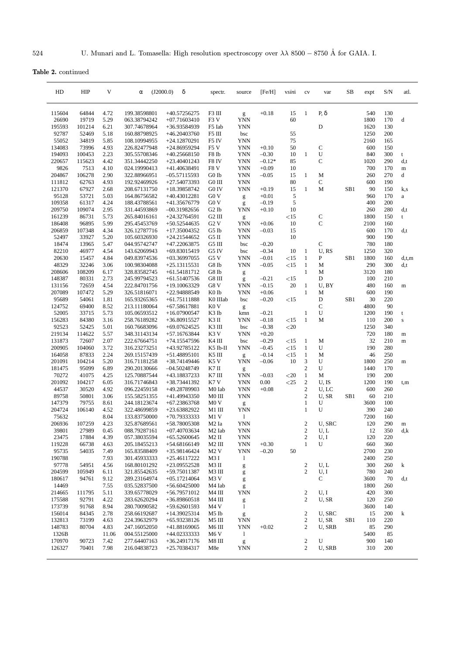Table 2. continued

| HD               | <b>HIP</b>      | V            | α                            | δ<br>(J2000.0)                 | spectr.                  | source                                                                                                                                                                                                                                                                                                                                                                                                                         | [Fe/H]              | vsini      | cv                           | var                 | SВ              | expt         | S/N        | atl.              |
|------------------|-----------------|--------------|------------------------------|--------------------------------|--------------------------|--------------------------------------------------------------------------------------------------------------------------------------------------------------------------------------------------------------------------------------------------------------------------------------------------------------------------------------------------------------------------------------------------------------------------------|---------------------|------------|------------------------------|---------------------|-----------------|--------------|------------|-------------------|
| 115604           | 64844           | 4.72         | 199.38598801                 | +40.57256275                   | F3 III                   | g                                                                                                                                                                                                                                                                                                                                                                                                                              | $+0.18$             | 15         | $\mathbf{1}$                 | $P, \delta$         |                 | 540          | 130        |                   |
| 26690            | 19719           | 5.29         | 063.38794242                 | $+07.71603410$                 | F3 V                     | YNN                                                                                                                                                                                                                                                                                                                                                                                                                            |                     | 60         |                              |                     |                 | 1800         | 170        | d                 |
| 195593           | 101214          | 6.21         | 307.74678964                 | +36.93584939                   | F5 Iab                   | <b>YNN</b>                                                                                                                                                                                                                                                                                                                                                                                                                     |                     |            |                              | D                   |                 | 1620         | 130        |                   |
| 92787            | 52469           | 5.18         | 160.88798925                 | +46.20403760                   | F5 III                   | bsc                                                                                                                                                                                                                                                                                                                                                                                                                            |                     | 55         |                              |                     |                 | 1250         | 200        |                   |
| 55052            | 34819           | 5.85         | 108.10994955                 | +24.12870291                   | F5 IV                    | <b>YNN</b>                                                                                                                                                                                                                                                                                                                                                                                                                     |                     | 75         |                              |                     |                 | 2160         | 165        |                   |
| 134083           | 73996           | 4.93         | 226.82477948                 | +24.86959294                   | F <sub>5</sub> V         | <b>YNN</b>                                                                                                                                                                                                                                                                                                                                                                                                                     | $+0.10$             | 50         |                              | $\mathbf C$         |                 | 600          | 150        |                   |
| 194093           | 100453          | 2.23         | 305.55708346                 | $+40.25668150$                 | F8 Ib                    | <b>YNN</b>                                                                                                                                                                                                                                                                                                                                                                                                                     | $-0.30$             | 10         | $\mathbf{1}$                 | U<br>C              |                 | 840          | 300        | t                 |
| 220657<br>9826   | 115623<br>7513  | 4.42<br>4.10 | 351.34442250<br>024.19990413 | $+23.40401243$<br>+41.40638491 | F8 IV<br>F8 <sub>V</sub> | <b>YNN</b><br><b>YNN</b>                                                                                                                                                                                                                                                                                                                                                                                                       | $-0.12*$<br>$+0.09$ | 85<br>10   |                              |                     |                 | 1020<br>700  | 290<br>170 | d, t<br>${\bf m}$ |
| 204867           | 106278          | 2.90         | 322.88966951                 | $-05.57115593$                 | G0 Ib                    | <b>YNN</b>                                                                                                                                                                                                                                                                                                                                                                                                                     | $-0.05$             | 15         | $\mathbf{1}$                 | M                   |                 | 260          | 270        | d                 |
| 111812           | 62763           | 4.93         | 192.92469926                 | $+27.54073393$                 | $G0$ III                 | <b>YNN</b>                                                                                                                                                                                                                                                                                                                                                                                                                     |                     | 80         |                              | $\mathbf C$         |                 | 600          | 190        |                   |
| 121370           | 67927           | 2.68         | 208.67131750                 | +18.39858742                   | G0 IV                    | <b>YNN</b>                                                                                                                                                                                                                                                                                                                                                                                                                     | $+0.19$             | 15         | $\mathbf{1}$                 | M                   | SB1             | 90           | 150        | k,s               |
| 95128            | 53721           | 5.03         | 164.86756582                 | +40.43012281                   | G0 <sub>V</sub>          | g                                                                                                                                                                                                                                                                                                                                                                                                                              | $+0.01$             | 5          |                              |                     |                 | 960          | 170        | $\rm{a}$          |
| 109358           | 61317           | 4.24         | 188.43788561                 | +41.35676779                   | G0 <sub>V</sub>          | g                                                                                                                                                                                                                                                                                                                                                                                                                              | $-0.19$             | 5          |                              |                     |                 | 400          | 200        |                   |
| 209750           | 109074          | 2.95         | 331.44593869                 | $-00.31982656$                 | G <sub>2</sub> Ib        | <b>YNN</b>                                                                                                                                                                                                                                                                                                                                                                                                                     | $+0.10$             | 10         |                              |                     |                 | 260          | 280        | d, t              |
| 161239           | 86731           | 5.73         | 265.84016161                 | +24.32764591                   | G2 III                   | g                                                                                                                                                                                                                                                                                                                                                                                                                              |                     | <15        |                              | $\mathbf C$         |                 | 1800         | 150        | t                 |
| 186408           | 96895           | 5.99         | 295.45453769                 | $+50.52544635$                 | G2V                      | <b>YNN</b>                                                                                                                                                                                                                                                                                                                                                                                                                     | $+0.06$             | 10         |                              | $\mathbf C$         |                 | 2100         | 160        |                   |
| 206859           | 107348          | 4.34         | 326.12787716                 | $+17.35004352$                 | G5 Ib                    | <b>YNN</b>                                                                                                                                                                                                                                                                                                                                                                                                                     | $-0.03$             | 15         |                              |                     |                 | 600          | 170        | d, t              |
| 52497            | 33927           | 5.20         | 105.60326930                 | $+24.21544652$                 | G5 II                    | <b>YNN</b>                                                                                                                                                                                                                                                                                                                                                                                                                     |                     | 10         |                              |                     |                 | 900          | 190        |                   |
| 18474            | 13965           | 5.47         | 044.95742747                 | +47.22063875                   | G5 III                   | bsc                                                                                                                                                                                                                                                                                                                                                                                                                            | $-0.20$             |            |                              | $\mathbf C$<br>U.RS |                 | 780          | 180        |                   |
| 82210<br>20630   | 46977<br>15457  | 4.54<br>4.84 | 143.62069943<br>049.83974536 | +69.83015419<br>$+03.36997055$ | G5 IV<br>G5 V            | bsc<br><b>YNN</b>                                                                                                                                                                                                                                                                                                                                                                                                              | $-0.34$<br>$-0.01$  | 10<br><15  | $\mathbf{1}$<br>$\mathbf{1}$ | P                   | SB <sub>1</sub> | 1250<br>1800 | 320<br>160 | d,t,m             |
| 48329            | 32246           | 3.06         | 100.98304088                 | $+25.13115531$                 | G8 Ib                    | <b>YNN</b>                                                                                                                                                                                                                                                                                                                                                                                                                     | $-0.05$             | <15        | $\mathbf{1}$                 | M                   |                 | 290          | 300        | d,t               |
| 208606           | 108209          | 6.17         | 328.83582745                 | +61.54181712                   | G8 Ib                    | $\mathbf{g}% _{0}$                                                                                                                                                                                                                                                                                                                                                                                                             |                     |            | $\mathbf{1}$                 | M                   |                 | 3120         | 180        |                   |
| 148387           | 80331           | 2.73         | 245.99794523                 | $+61.51407536$                 | G8 III                   | g                                                                                                                                                                                                                                                                                                                                                                                                                              | $-0.21$             | <15        |                              | D                   |                 | 100          | 210        |                   |
| 131156           | 72659           | 4.54         | 222.84701756                 | $+19.10063329$                 | G8 <sub>V</sub>          | <b>YNN</b>                                                                                                                                                                                                                                                                                                                                                                                                                     | $-0.15$             | 20         | $\mathbf{1}$                 | U, BY               |                 | 480          | 160        | m                 |
| 207089           | 107472          | 5.29         | 326.51816071                 | +22.94888549                   | K <sub>0</sub> Ib        | <b>YNN</b>                                                                                                                                                                                                                                                                                                                                                                                                                     | $+0.06$             |            | $\mathbf{1}$                 | M                   |                 | 600          | 190        |                   |
| 95689            | 54061           | 1.81         | 165.93265365                 | +61.75111888                   | K0 IIIab                 | bsc                                                                                                                                                                                                                                                                                                                                                                                                                            | $-0.20$             | <15        |                              | D                   | SB1             | 30           | 220        |                   |
| 124752           | 69400           | 8.52         | 213.11180064                 | $+67.58617881$                 | K <sub>0</sub> V         | g                                                                                                                                                                                                                                                                                                                                                                                                                              |                     |            |                              | $\mathbf C$         |                 | 4800         | 90         |                   |
| 52005            | 33715           | 5.73         | 105.06593512                 | $+16.07900547$                 | K3 Ib                    | kmn                                                                                                                                                                                                                                                                                                                                                                                                                            | $-0.21$             |            | $\mathbf{1}$                 | U                   |                 | 1200         | 190        | t                 |
| 156283           | 84380           | 3.16         | 258.76189282                 | $+36.80915527$                 | K3 II                    | <b>YNN</b>                                                                                                                                                                                                                                                                                                                                                                                                                     | $-0.18$             | <15        | $\mathbf{1}$                 | M                   |                 | 110          | 200        | ${\bf S}$         |
| 92523            | 52425           | 5.01         | 160.76683096                 | +69.07624525                   | K3 III                   | bsc                                                                                                                                                                                                                                                                                                                                                                                                                            | $-0.38$             | $<$ 20     |                              |                     |                 | 1250         | 340        |                   |
| 219134           | 114622<br>72607 | 5.57<br>2.07 | 348.31143134                 | +57.16763844                   | K3 V<br>K4 III           | <b>YNN</b>                                                                                                                                                                                                                                                                                                                                                                                                                     | $+0.20$             |            | $\mathbf{1}$                 | M                   |                 | 720<br>32    | 180<br>210 | ${\rm m}$         |
| 131873<br>200905 | 104060          | 3.72         | 222.67664751<br>316.23273251 | +74.15547596<br>+43.92785122   | K5 Ib-II                 | bsc<br><b>YNN</b>                                                                                                                                                                                                                                                                                                                                                                                                              | $-0.29$<br>$-0.45$  | <15<br><15 | $\mathbf{1}$                 | U                   |                 | 190          | 280        | m                 |
| 164058           | 87833           | 2.24         | 269.15157439                 | $+51.48895101$                 | K5 III                   | g                                                                                                                                                                                                                                                                                                                                                                                                                              | $-0.14$             | <15        | $\mathbf{1}$                 | M                   |                 | 46           | 250        |                   |
| 201091           | 104214          | 5.20         | 316.71181258                 | +38.74149446                   | K5 V                     | <b>YNN</b>                                                                                                                                                                                                                                                                                                                                                                                                                     | $-0.06$             | 10         | 3                            | U                   |                 | 1800         | 250        | ${\rm m}$         |
| 181475           | 95099           | 6.89         | 290.20130666                 | $-04.50248749$                 | K7 II                    | g                                                                                                                                                                                                                                                                                                                                                                                                                              |                     |            | $\boldsymbol{2}$             | U                   |                 | 1440         | 170        |                   |
| 70272            | 41075           | 4.25         | 125.70887544                 | +43.18837233                   | K7 III                   | <b>YNN</b>                                                                                                                                                                                                                                                                                                                                                                                                                     | $-0.03$             | $<$ 20     | $\mathbf{1}$                 | M                   |                 | 190          | 200        |                   |
| 201092           | 104217          | 6.05         | 316.71746843                 | +38.73441392                   | K7V                      | <b>YNN</b>                                                                                                                                                                                                                                                                                                                                                                                                                     | 0.00                | $<$ 25     | $\sqrt{2}$                   | U, IS               |                 | 1200         | 190        | t,m               |
| 44537            | 30520           | 4.92         | 096.22459158                 | +49.28789903                   | M0 Iab                   | <b>YNN</b>                                                                                                                                                                                                                                                                                                                                                                                                                     | $+0.08$             |            | $\sqrt{2}$                   | U, LC               |                 | 600          | 260        |                   |
| 89758            | 50801           | 3.06         | 155.58251355                 | +41.49943350                   | M0 III                   | <b>YNN</b>                                                                                                                                                                                                                                                                                                                                                                                                                     |                     |            | $\boldsymbol{2}$             | U, SR               | SB1             | 60           | 210        |                   |
| 147379           | 79755           | 8.61         | 244.18123674                 | $+67.23863768$                 | M <sub>0</sub> V         | g                                                                                                                                                                                                                                                                                                                                                                                                                              |                     |            | 1                            | U                   |                 | 3600         | 100        |                   |
| 204724           | 106140          | 4.52         | 322.48699859                 | +23.63882922                   | M1 III                   | <b>YNN</b>                                                                                                                                                                                                                                                                                                                                                                                                                     |                     |            | 1                            | U                   |                 | 390          | 240        |                   |
| 75632            |                 | 8.04         | 133.83750000                 | +70.79333333                   | M1 V                     | 1                                                                                                                                                                                                                                                                                                                                                                                                                              |                     |            |                              |                     |                 | 7200         | 160        |                   |
| 206936           | 107259<br>27989 | 4.23         | 325.87689561                 | +58.78005308<br>$+07.40703634$ | M2 Ia                    | <b>YNN</b>                                                                                                                                                                                                                                                                                                                                                                                                                     |                     |            | $\overline{2}$<br>$\sqrt{2}$ | U, SRC<br>U, L      |                 | 120          | 290        | m                 |
| 39801<br>23475   | 17884           | 0.45<br>4.39 | 088.79287161<br>057.38035594 | $+65.52600645$                 | M2 Iab<br>$M2$ II        | YNN<br><b>YNN</b>                                                                                                                                                                                                                                                                                                                                                                                                              |                     |            | $\sqrt{2}$                   | U, I                |                 | 12<br>120    | 350<br>220 | d,k               |
| 119228           | 66738           | 4.63         | 205.18455213                 | $+54.68166149$                 | M2 III                   | YNN                                                                                                                                                                                                                                                                                                                                                                                                                            | $+0.30$             |            | $\mathbf{1}$                 | U                   |                 | 660          | 360        |                   |
| 95735            | 54035           | 7.49         | 165.83588409                 | $+35.98146424$                 | M2V                      | <b>YNN</b>                                                                                                                                                                                                                                                                                                                                                                                                                     | $-0.20$             | 50         |                              |                     |                 | 2700         | 230        |                   |
| 190788           |                 | 7.93         | 301.45933333                 | $+25.46117222$                 | M3 I                     | $\mathbf{1}$                                                                                                                                                                                                                                                                                                                                                                                                                   |                     |            |                              |                     |                 | 2400         | 250        |                   |
| 97778            | 54951           | 4.56         | 168.80101292                 | $+23.09552528$                 | M3 II                    | $\mathbf{g}% _{0}$                                                                                                                                                                                                                                                                                                                                                                                                             |                     |            | $\boldsymbol{2}$             | U, L                |                 | 300          | 260        | k                 |
| 204599           | 105949          | 6.11         | 321.85542635                 | $+59.75011387$                 | M3 III                   | $\mathbf{g}% _{T}=\mathbf{g}_{T}=\mathbf{g}_{T}=\mathbf{g}_{T}=\mathbf{g}_{T}=\mathbf{g}_{T}=\mathbf{g}_{T}=\mathbf{g}_{T}=\mathbf{g}_{T}=\mathbf{g}_{T}=\mathbf{g}_{T}=\mathbf{g}_{T}=\mathbf{g}_{T}=\mathbf{g}_{T}=\mathbf{g}_{T}=\mathbf{g}_{T}=\mathbf{g}_{T}=\mathbf{g}_{T}=\mathbf{g}_{T}=\mathbf{g}_{T}=\mathbf{g}_{T}=\mathbf{g}_{T}=\mathbf{g}_{T}=\mathbf{g}_{T}=\mathbf{g}_{T}=\mathbf{g}_{T}=\mathbf{g}_{T}=\math$ |                     |            | $\sqrt{2}$                   | U, I                |                 | 780          | 240        |                   |
| 180617           | 94761           | 9.12         | 289.23164974                 | $+05.17214064$                 | M3 V                     | $\mathbf{g}% _{0}$                                                                                                                                                                                                                                                                                                                                                                                                             |                     |            |                              | $\mathbf C$         |                 | 3600         | 70         | d,t               |
| 14469            |                 | 7.55         | 035.52837500                 | $+56.60425000$                 | M <sub>4</sub> Iab       | $\mathbf{g}% _{T}=\mathbf{g}_{T}=\mathbf{g}_{T}=\mathbf{g}_{T}=\mathbf{g}_{T}=\mathbf{g}_{T}=\mathbf{g}_{T}=\mathbf{g}_{T}=\mathbf{g}_{T}=\mathbf{g}_{T}=\mathbf{g}_{T}=\mathbf{g}_{T}=\mathbf{g}_{T}=\mathbf{g}_{T}=\mathbf{g}_{T}=\mathbf{g}_{T}=\mathbf{g}_{T}=\mathbf{g}_{T}=\mathbf{g}_{T}=\mathbf{g}_{T}=\mathbf{g}_{T}=\mathbf{g}_{T}=\mathbf{g}_{T}=\mathbf{g}_{T}=\mathbf{g}_{T}=\mathbf{g}_{T}=\mathbf{g}_{T}=\math$ |                     |            |                              |                     |                 | 1800         | 260        |                   |
| 214665           | 111795          | 5.11         | 339.65778029                 | $+56.79571012$                 | M4 III                   | YNN                                                                                                                                                                                                                                                                                                                                                                                                                            |                     |            | $\boldsymbol{2}$             | U, I                |                 | 420          | 300        |                   |
| 175588           | 92791           | 4.22         | 283.62620294                 | $+36.89860518$                 | M4 III                   | g                                                                                                                                                                                                                                                                                                                                                                                                                              |                     |            | $\sqrt{2}$                   | U, SR               |                 | 120          | 250        |                   |
| 173739           | 91768           | 8.94         | 280.70090582                 | $+59.62601593$                 | M4 V                     | $\mathbf{1}$                                                                                                                                                                                                                                                                                                                                                                                                                   |                     |            |                              |                     |                 | 3600         | 140        |                   |
| 156014           | 84345           | 2.78         | 258.66192687                 | +14.39025314                   | M5 Ib                    | g                                                                                                                                                                                                                                                                                                                                                                                                                              |                     |            | $\sqrt{2}$                   | U, SRC              |                 | 15           | 200        | k                 |
| 132813<br>148783 | 73199<br>80704  | 4.63<br>4.83 | 224.39632979<br>247.16052050 | +65.93238126<br>+41.88169065   | M5 III<br>M6 III         | YNN<br>YNN                                                                                                                                                                                                                                                                                                                                                                                                                     | $+0.02$             |            | $\sqrt{2}$<br>$\sqrt{2}$     | U, SR<br>U, SRB     | SB1             | 110<br>85    | 220<br>290 |                   |
| 1326B            |                 | 11.06        | 004.55125000                 | +44.02333333                   | M6 V                     | $\mathbf{1}$                                                                                                                                                                                                                                                                                                                                                                                                                   |                     |            |                              |                     |                 | 5400         | 85         |                   |
| 170970           | 90723           | 7.42         | 277.64407163                 | $+36.24917176$                 | $M8$ III                 | $\mathbf{g}% _{T}=\mathbf{g}_{T}=\mathbf{g}_{T}=\mathbf{g}_{T}=\mathbf{g}_{T}=\mathbf{g}_{T}=\mathbf{g}_{T}=\mathbf{g}_{T}=\mathbf{g}_{T}=\mathbf{g}_{T}=\mathbf{g}_{T}=\mathbf{g}_{T}=\mathbf{g}_{T}=\mathbf{g}_{T}=\mathbf{g}_{T}=\mathbf{g}_{T}=\mathbf{g}_{T}=\mathbf{g}_{T}=\mathbf{g}_{T}=\mathbf{g}_{T}=\mathbf{g}_{T}=\mathbf{g}_{T}=\mathbf{g}_{T}=\mathbf{g}_{T}=\mathbf{g}_{T}=\mathbf{g}_{T}=\mathbf{g}_{T}=\math$ |                     |            | $\sqrt{2}$                   | U                   |                 | 900          | 140        |                   |
| 126327           | 70401           | 7.98         | 216.04838723                 | $+25.70384317$                 | M8e                      | YNN                                                                                                                                                                                                                                                                                                                                                                                                                            |                     |            | $\mathfrak{2}$               | U, SRB              |                 | 310          | 200        |                   |
|                  |                 |              |                              |                                |                          |                                                                                                                                                                                                                                                                                                                                                                                                                                |                     |            |                              |                     |                 |              |            |                   |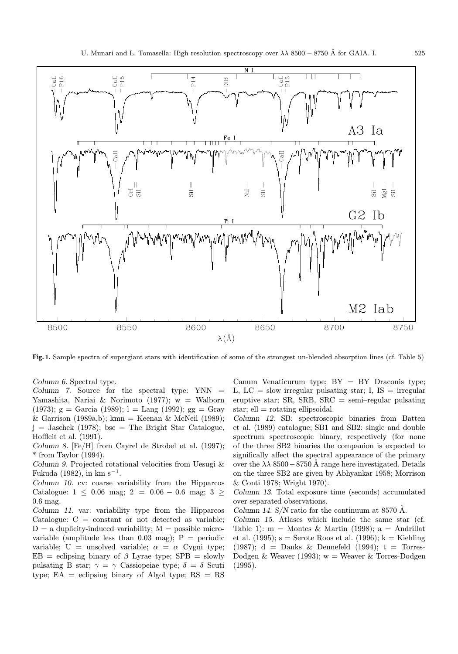

Fig. 1. Sample spectra of supergiant stars with identification of some of the strongest un-blended absorption lines (cf. Table 5)

Column 6. Spectral type.

Column 7. Source for the spectral type: YNN = Yamashita, Nariai & Norimoto (1977); w = Walborn (1973);  $g =$  Garcia (1989);  $l =$  Lang (1992);  $gg =$  Gray & Garrison (1989a,b); kmn = Keenan & McNeil (1989);  $j =$  Jaschek (1978); bsc = The Bright Star Catalogue, Hoffleit et al. (1991).

Column 8. [Fe/H] from Cayrel de Strobel et al. (1997);  $*$  from Taylor (1994).

Column 9. Projected rotational velocities from Uesugi & Fukuda (1982), in km s<sup>-1</sup>.

Column 10. cv: coarse variability from the Hipparcos Catalogue: 1 ≤ 0.06 mag; 2 = 0.06 – 0.6 mag; 3 ≥ 0.6 mag.

Column 11. var: variability type from the Hipparcos Catalogue:  $C = constant$  or not detected as variable;  $D = a$  duplicity-induced variability;  $M =$  possible microvariable (amplitude less than 0.03 mag);  $P =$  periodic variable; U = unsolved variable;  $\alpha = \alpha$  Cygni type;  $EB =$  eclipsing binary of  $\beta$  Lyrae type; SPB = slowly pulsating B star;  $\gamma = \gamma$  Cassiopeiae type;  $\delta = \delta$  Scuti type;  $EA =$  eclipsing binary of Algol type;  $RS = RS$ 

Canum Venaticurum type;  $BY = BY$  Draconis type; L,  $LC =$  slow irregular pulsating star; I,  $IS =$  irregular eruptive star; SR, SRB, SRC = semi-regular pulsating star;  $ell = rotating$  ellipsoidal.

Column 12. SB: spectroscopic binaries from Batten et al. (1989) catalogue; SB1 and SB2: single and double spectrum spectroscopic binary, respectively (for none of the three SB2 binaries the companion is expected to significally affect the spectral appearance of the primary over the  $\lambda \lambda$  8500 – 8750 Å range here investigated. Details on the three SB2 are given by Abhyankar 1958; Morrison & Conti 1978; Wright 1970).

Column 13. Total exposure time (seconds) accumulated over separated observations.

Column 14.  $S/N$  ratio for the continuum at 8570 Å.

Column 15. Atlases which include the same star (cf. Table 1):  $m =$  Montes & Martin (1998);  $a =$  Andrillat et al. (1995);  $s =$  Serote Roos et al. (1996);  $k =$  Kiehling (1987);  $d =$  Danks & Dennefeld (1994);  $t =$  Torres-Dodgen & Weaver (1993);  $w =$  Weaver & Torres-Dodgen (1995).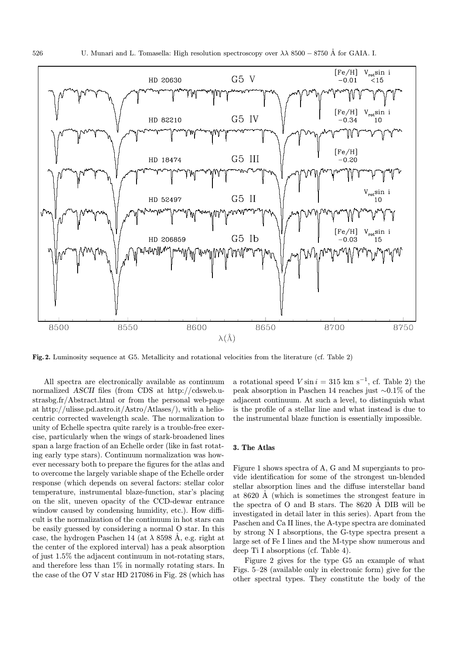

Fig. 2. Luminosity sequence at G5. Metallicity and rotational velocities from the literature (cf. Table 2)

All spectra are electronically available as continuum normalized ASCII files (from CDS at http://cdsweb.ustrasbg.fr/Abstract.html or from the personal web-page at http://ulisse.pd.astro.it/Astro/Atlases/), with a heliocentric corrected wavelength scale. The normalization to unity of Echelle spectra quite rarely is a trouble-free exercise, particularly when the wings of stark-broadened lines span a large fraction of an Echelle order (like in fast rotating early type stars). Continuum normalization was however necessary both to prepare the figures for the atlas and to overcome the largely variable shape of the Echelle order response (which depends on several factors: stellar color temperature, instrumental blaze-function, star's placing on the slit, uneven opacity of the CCD-dewar entrance window caused by condensing humidity, etc.). How difficult is the normalization of the continuum in hot stars can be easily guessed by considering a normal O star. In this case, the hydrogen Paschen 14 (at  $\lambda$  8598 Å, e.g. right at the center of the explored interval) has a peak absorption of just 1.5% the adjacent continuum in not-rotating stars, and therefore less than  $1\%$  in normally rotating stars. In the case of the O7 V star HD 217086 in Fig. 28 (which has

a rotational speed  $V \sin i = 315$  km s<sup>-1</sup>, cf. Table 2) the peak absorption in Paschen 14 reaches just ∼0.1% of the adjacent continuum. At such a level, to distinguish what is the profile of a stellar line and what instead is due to the instrumental blaze function is essentially impossible.

#### 3. The Atlas

Figure 1 shows spectra of A, G and M supergiants to provide identification for some of the strongest un-blended stellar absorption lines and the diffuse interstellar band at  $8620$  Å (which is sometimes the strongest feature in the spectra of  $O$  and  $B$  stars. The 8620  $\AA$  DIB will be investigated in detail later in this series). Apart from the Paschen and Ca II lines, the A-type spectra are dominated by strong N I absorptions, the G-type spectra present a large set of Fe I lines and the M-type show numerous and deep Ti I absorptions (cf. Table 4).

Figure 2 gives for the type G5 an example of what Figs. 5–28 (available only in electronic form) give for the other spectral types. They constitute the body of the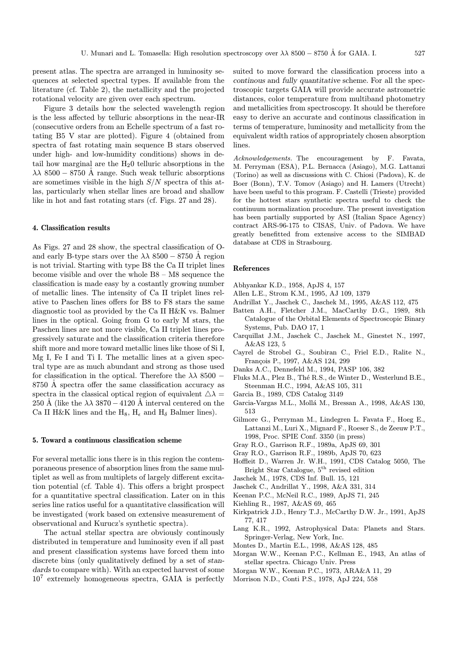present atlas. The spectra are arranged in luminosity sequences at selected spectral types. If available from the literature (cf. Table 2), the metallicity and the projected rotational velocity are given over each spectrum.

Figure 3 details how the selected wavelength region is the less affected by telluric absorptions in the near-IR (consecutive orders from an Echelle spectrum of a fast rotating B5 V star are plotted). Figure 4 (obtained from spectra of fast rotating main sequence B stars observed under high- and low-humidity conditions) shows in detail how marginal are the  $H_2$ 0 telluric absorptions in the  $\lambda \lambda$  8500 – 8750 Å range. Such weak telluric absorptions are sometimes visible in the high  $S/N$  spectra of this atlas, particularly when stellar lines are broad and shallow like in hot and fast rotating stars (cf. Figs. 27 and 28).

#### 4. Classification results

As Figs. 27 and 28 show, the spectral classification of Oand early B-type stars over the  $\lambda \lambda$  8500 – 8750 Å region is not trivial. Starting with type B8 the Ca II triplet lines become visible and over the whole B8 – M8 sequence the classification is made easy by a costantly growing number of metallic lines. The intensity of Ca II triplet lines relative to Paschen lines offers for B8 to F8 stars the same diagnostic tool as provided by the Ca II H&K vs. Balmer lines in the optical. Going from G to early M stars, the Paschen lines are not more visible, Ca II triplet lines progressively saturate and the classification criteria therefore shift more and more toward metallic lines like those of Si I, Mg I, Fe I and Ti I. The metallic lines at a given spectral type are as much abundant and strong as those used for classification in the optical. Therefore the  $\lambda \lambda 8500 -$ 8750 A spectra offer the same classification accuracy as spectra in the classical optical region of equivalent  $\Delta \lambda =$ 250 Å (like the  $\lambda \lambda$  3870 – 4120 Å interval centered on the Ca II H&K lines and the  $H_8$ ,  $H_\epsilon$  and  $H_\delta$  Balmer lines).

## 5. Toward a continuous classification scheme

For several metallic ions there is in this region the contemporaneous presence of absorption lines from the same multiplet as well as from multiplets of largely different excitation potential (cf. Table 4). This offers a bright prospect for a quantitative spectral classification. Later on in this series line ratios useful for a quantitative classification will be investigated (work based on extensive measurement of observational and Kurucz's synthetic spectra).

The actual stellar spectra are obviously continously distributed in temperature and luminosity even if all past and present classification systems have forced them into discrete bins (only qualitatively defined by a set of standards to compare with). With an expected harvest of some 10<sup>7</sup> extremely homogeneous spectra, GAIA is perfectly

suited to move forward the classification process into a continous and fully quantitative scheme. For all the spectroscopic targets GAIA will provide accurate astrometric distances, color temperature from multiband photometry and metallicities from spectroscopy. It should be therefore easy to derive an accurate and continous classification in terms of temperature, luminosity and metallicity from the equivalent width ratios of appropriately chosen absorption lines.

Acknowledgements. The encouragement by F. Favata, M. Perryman (ESA), P.L. Bernacca (Asiago), M.G. Lattanzi (Torino) as well as discussions with C. Chiosi (Padova), K. de Boer (Bonn), T.V. Tomov (Asiago) and H. Lamers (Utrecht) have been useful to this program. F. Castelli (Trieste) provided for the hottest stars synthetic spectra useful to check the continuum normalization procedure. The present investigation has been partially supported by ASI (Italian Space Agency) contract ARS-96-175 to CISAS, Univ. of Padova. We have greatly benefitted from extensive access to the SIMBAD database at CDS in Strasbourg.

#### References

- Abhyankar K.D., 1958, ApJS 4, 157
- Allen L.E., Strom K.M., 1995, AJ 109, 1379
- Andrillat Y., Jaschek C., Jaschek M., 1995, A&AS 112, 475
- Batten A.H., Fletcher J.M., MacCarthy D.G., 1989, 8th Catalogue of the Orbital Elements of Spectroscopic Binary Systems, Pub. DAO 17, 1
- Carquillat J.M., Jaschek C., Jaschek M., Ginestet N., 1997, A&AS 123, 5
- Cayrel de Strobel G., Soubiran C., Friel E.D., Ralite N., Fran¸cois P., 1997, A&AS 124, 299
- Danks A.C., Dennefeld M., 1994, PASP 106, 382
- Fluks M.A., Plez B., Thé R.S., de Winter D., Westerlund B.E., Steenman H.C., 1994, A&AS 105, 311
- Garcia B., 1989, CDS Catalog 3149
- Garcia-Vargas M.L., Mollá M., Bressan A., 1998, A&AS 130, 513
- Gilmore G., Perryman M., Lindegren L. Favata F., Hoeg E., Lattanzi M., Luri X., Mignard F., Roeser S., de Zeeuw P.T., 1998, Proc. SPIE Conf. 3350 (in press)
- Gray R.O., Garrison R.F., 1989a, ApJS 69, 301
- Gray R.O., Garrison R.F., 1989b, ApJS 70, 623
- Hoffleit D., Warren Jr. W.H., 1991, CDS Catalog 5050, The Bright Star Catalogue, 5th revised edition
- Jaschek M., 1978, CDS Inf. Bull. 15, 121
- Jaschek C., Andrillat Y., 1998, A&A 331, 314
- Keenan P.C., McNeil R.C., 1989, ApJS 71, 245
- Kiehling R., 1987, A&AS 69, 465
- Kirkpatrick J.D., Henry T.J., McCarthy D.W. Jr., 1991, ApJS 77, 417
- Lang K.R., 1992, Astrophysical Data: Planets and Stars. Springer-Verlag, New York, Inc.
- Montes D., Martin E.L., 1998, A&AS 128, 485
- Morgan W.W., Keenan P.C., Kellman E., 1943, An atlas of stellar spectra. Chicago Univ. Press
- Morgan W.W., Keenan P.C., 1973, ARA&A 11, 29
- Morrison N.D., Conti P.S., 1978, ApJ 224, 558